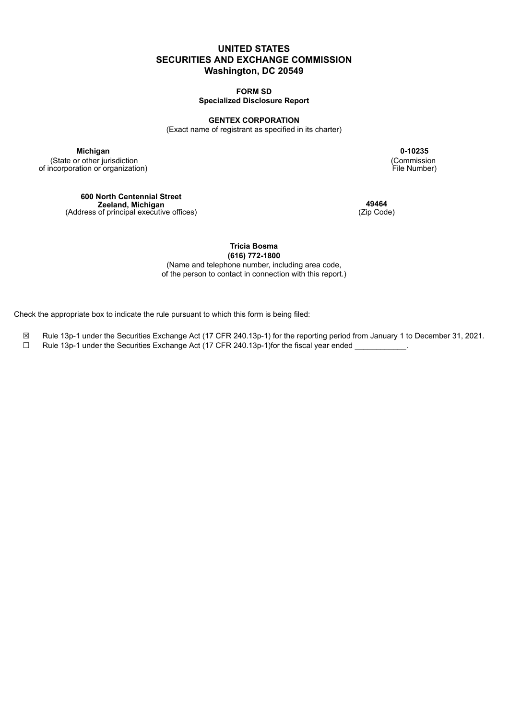# **UNITED STATES SECURITIES AND EXCHANGE COMMISSION Washington, DC 20549**

**FORM SD Specialized Disclosure Report**

#### **GENTEX CORPORATION**

(Exact name of registrant as specified in its charter)

(State or other jurisdiction of incorporation or organization)

> **600 North Centennial Street Zeeland, Michigan** (Address of principal executive offices)

**Michigan 0-10235** (Commission File Number)

> **49464** (Zip Code)

**Tricia Bosma (616) 772-1800**

(Name and telephone number, including area code, of the person to contact in connection with this report.)

Check the appropriate box to indicate the rule pursuant to which this form is being filed:

- ☒ Rule 13p-1 under the Securities Exchange Act (17 CFR 240.13p-1) for the reporting period from January 1 to December 31, 2021.
- □ Rule 13p-1 under the Securities Exchange Act (17 CFR 240.13p-1)for the fiscal year ended \_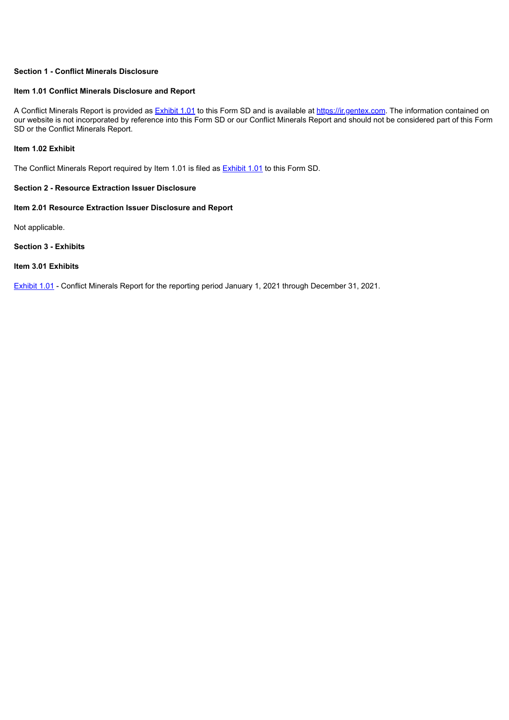# **Section 1 - Conflict Minerals Disclosure**

### **Item 1.01 Conflict Minerals Disclosure and Report**

A Conflict Minerals Report is provided as [Exhibit](#page-3-0) 1.01 to this Form SD and is available at https://ir.gentex.com. The information contained on our website is not incorporated by reference into this Form SD or our Conflict Minerals Report and should not be considered part of this Form SD or the Conflict Minerals Report.

### **Item 1.02 Exhibit**

The Conflict Minerals Report required by Item 1.01 is filed as **[Exhibit](#page-3-0) 1.01** to this Form SD.

### **Section 2 - Resource Extraction Issuer Disclosure**

# **Item 2.01 Resource Extraction Issuer Disclosure and Report**

Not applicable.

# **Section 3 - Exhibits**

### **Item 3.01 Exhibits**

[Exhibit](#page-3-0) 1.01 - Conflict Minerals Report for the reporting period January 1, 2021 through December 31, 2021.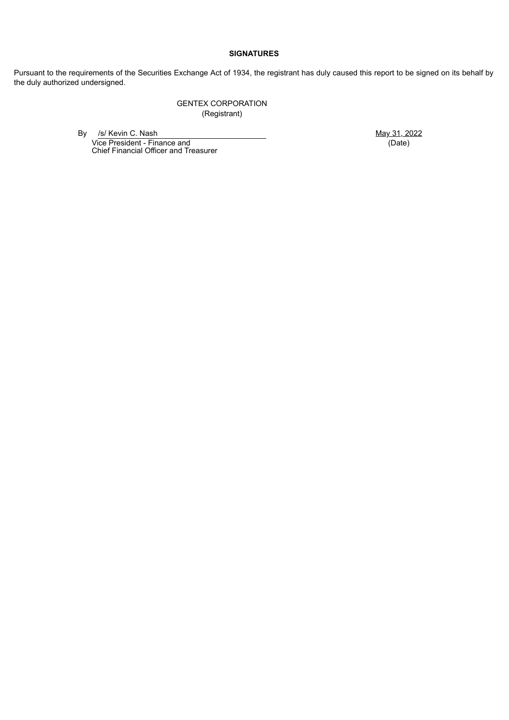# **SIGNATURES**

Pursuant to the requirements of the Securities Exchange Act of 1934, the registrant has duly caused this report to be signed on its behalf by the duly authorized undersigned.

> GENTEX CORPORATION (Registrant)

By /s/ Kevin C. Nash May 31, 2022 Vice President - Finance and

(Date)

Chief Financial Officer and Treasurer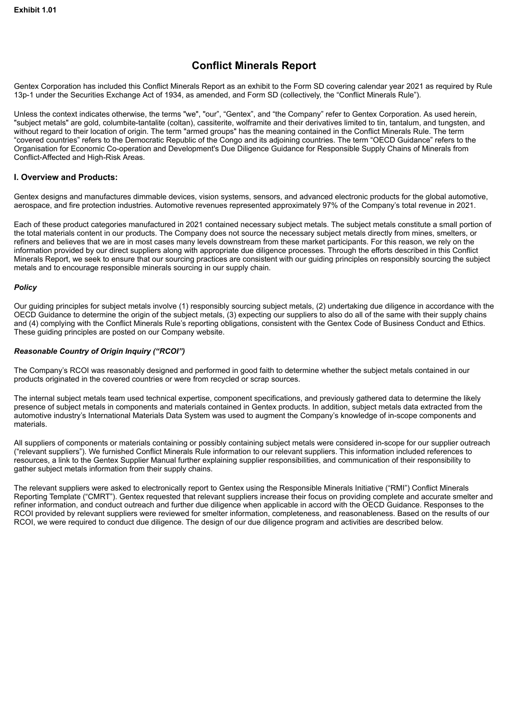# **Conflict Minerals Report**

<span id="page-3-0"></span>Gentex Corporation has included this Conflict Minerals Report as an exhibit to the Form SD covering calendar year 2021 as required by Rule 13p-1 under the Securities Exchange Act of 1934, as amended, and Form SD (collectively, the "Conflict Minerals Rule").

Unless the context indicates otherwise, the terms "we", "our", "Gentex", and "the Company" refer to Gentex Corporation. As used herein, "subject metals" are gold, columbite-tantalite (coltan), cassiterite, wolframite and their derivatives limited to tin, tantalum, and tungsten, and without regard to their location of origin. The term "armed groups" has the meaning contained in the Conflict Minerals Rule. The term "covered countries" refers to the Democratic Republic of the Congo and its adjoining countries. The term "OECD Guidance" refers to the Organisation for Economic Co-operation and Development's Due Diligence Guidance for Responsible Supply Chains of Minerals from Conflict-Affected and High-Risk Areas.

### **I. Overview and Products:**

Gentex designs and manufactures dimmable devices, vision systems, sensors, and advanced electronic products for the global automotive, aerospace, and fire protection industries. Automotive revenues represented approximately 97% of the Company's total revenue in 2021.

Each of these product categories manufactured in 2021 contained necessary subject metals. The subject metals constitute a small portion of the total materials content in our products. The Company does not source the necessary subject metals directly from mines, smelters, or refiners and believes that we are in most cases many levels downstream from these market participants. For this reason, we rely on the information provided by our direct suppliers along with appropriate due diligence processes. Through the efforts described in this Conflict Minerals Report, we seek to ensure that our sourcing practices are consistent with our guiding principles on responsibly sourcing the subject metals and to encourage responsible minerals sourcing in our supply chain.

### *Policy*

Our guiding principles for subject metals involve (1) responsibly sourcing subject metals, (2) undertaking due diligence in accordance with the OECD Guidance to determine the origin of the subject metals, (3) expecting our suppliers to also do all of the same with their supply chains and (4) complying with the Conflict Minerals Rule's reporting obligations, consistent with the Gentex Code of Business Conduct and Ethics. These guiding principles are posted on our Company website.

# *Reasonable Country of Origin Inquiry ("RCOI")*

The Company's RCOI was reasonably designed and performed in good faith to determine whether the subject metals contained in our products originated in the covered countries or were from recycled or scrap sources.

The internal subject metals team used technical expertise, component specifications, and previously gathered data to determine the likely presence of subject metals in components and materials contained in Gentex products. In addition, subject metals data extracted from the automotive industry's International Materials Data System was used to augment the Company's knowledge of in-scope components and materials.

All suppliers of components or materials containing or possibly containing subject metals were considered in-scope for our supplier outreach ("relevant suppliers"). We furnished Conflict Minerals Rule information to our relevant suppliers. This information included references to resources, a link to the Gentex Supplier Manual further explaining supplier responsibilities, and communication of their responsibility to gather subject metals information from their supply chains.

The relevant suppliers were asked to electronically report to Gentex using the Responsible Minerals Initiative ("RMI") Conflict Minerals Reporting Template ("CMRT"). Gentex requested that relevant suppliers increase their focus on providing complete and accurate smelter and refiner information, and conduct outreach and further due diligence when applicable in accord with the OECD Guidance. Responses to the RCOI provided by relevant suppliers were reviewed for smelter information, completeness, and reasonableness. Based on the results of our RCOI, we were required to conduct due diligence. The design of our due diligence program and activities are described below.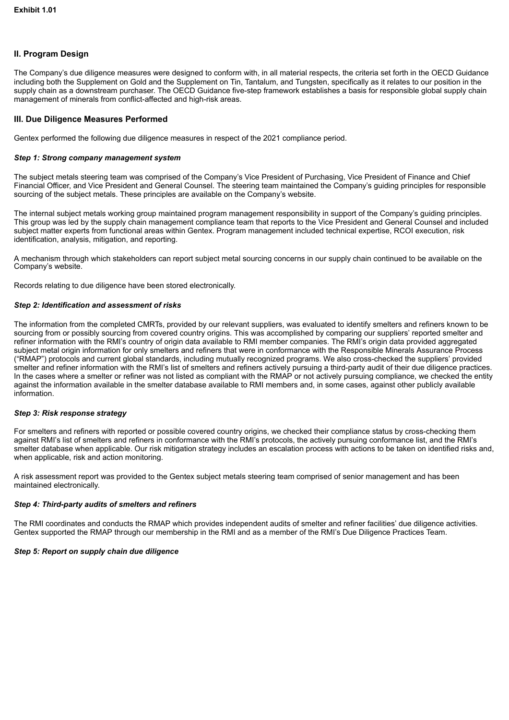# **II. Program Design**

The Company's due diligence measures were designed to conform with, in all material respects, the criteria set forth in the OECD Guidance including both the Supplement on Gold and the Supplement on Tin, Tantalum, and Tungsten, specifically as it relates to our position in the supply chain as a downstream purchaser. The OECD Guidance five-step framework establishes a basis for responsible global supply chain management of minerals from conflict-affected and high-risk areas.

# **III. Due Diligence Measures Performed**

Gentex performed the following due diligence measures in respect of the 2021 compliance period.

### *Step 1: Strong company management system*

The subject metals steering team was comprised of the Company's Vice President of Purchasing, Vice President of Finance and Chief Financial Officer, and Vice President and General Counsel. The steering team maintained the Company's guiding principles for responsible sourcing of the subject metals. These principles are available on the Company's website.

The internal subject metals working group maintained program management responsibility in support of the Company's guiding principles. This group was led by the supply chain management compliance team that reports to the Vice President and General Counsel and included subject matter experts from functional areas within Gentex. Program management included technical expertise, RCOI execution, risk identification, analysis, mitigation, and reporting.

A mechanism through which stakeholders can report subject metal sourcing concerns in our supply chain continued to be available on the Company's website.

Records relating to due diligence have been stored electronically.

### *Step 2: Identification and assessment of risks*

The information from the completed CMRTs, provided by our relevant suppliers, was evaluated to identify smelters and refiners known to be sourcing from or possibly sourcing from covered country origins. This was accomplished by comparing our suppliers' reported smelter and refiner information with the RMI's country of origin data available to RMI member companies. The RMI's origin data provided aggregated subject metal origin information for only smelters and refiners that were in conformance with the Responsible Minerals Assurance Process ("RMAP") protocols and current global standards, including mutually recognized programs. We also cross-checked the suppliers' provided smelter and refiner information with the RMI's list of smelters and refiners actively pursuing a third-party audit of their due diligence practices. In the cases where a smelter or refiner was not listed as compliant with the RMAP or not actively pursuing compliance, we checked the entity against the information available in the smelter database available to RMI members and, in some cases, against other publicly available information.

### *Step 3: Risk response strategy*

For smelters and refiners with reported or possible covered country origins, we checked their compliance status by cross-checking them against RMI's list of smelters and refiners in conformance with the RMI's protocols, the actively pursuing conformance list, and the RMI's smelter database when applicable. Our risk mitigation strategy includes an escalation process with actions to be taken on identified risks and, when applicable, risk and action monitoring.

A risk assessment report was provided to the Gentex subject metals steering team comprised of senior management and has been maintained electronically.

### *Step 4: Third-party audits of smelters and refiners*

The RMI coordinates and conducts the RMAP which provides independent audits of smelter and refiner facilities' due diligence activities. Gentex supported the RMAP through our membership in the RMI and as a member of the RMI's Due Diligence Practices Team.

### *Step 5: Report on supply chain due diligence*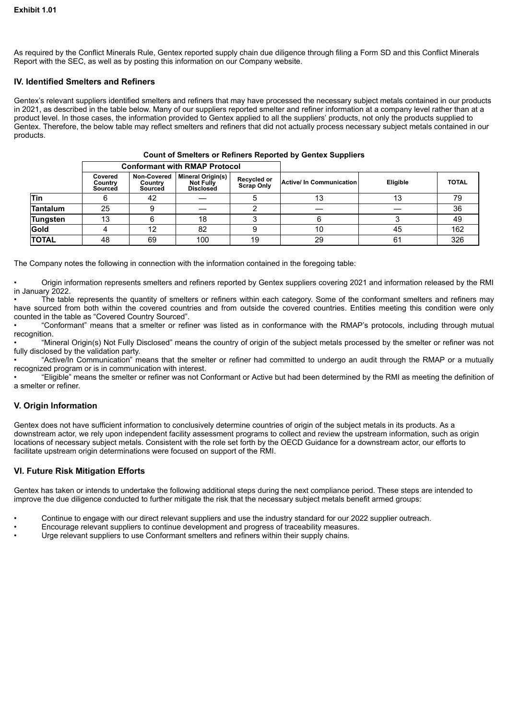As required by the Conflict Minerals Rule, Gentex reported supply chain due diligence through filing a Form SD and this Conflict Minerals Report with the SEC, as well as by posting this information on our Company website.

# **IV. Identified Smelters and Refiners**

Gentex's relevant suppliers identified smelters and refiners that may have processed the necessary subject metals contained in our products in 2021, as described in the table below. Many of our suppliers reported smelter and refiner information at a company level rather than at a product level. In those cases, the information provided to Gentex applied to all the suppliers' products, not only the products supplied to Gentex. Therefore, the below table may reflect smelters and refiners that did not actually process necessary subject metals contained in our products.

|                 | <b>Conformant with RMAP Protocol</b> |                                   |                                                                  |                                  |                            |          |              |
|-----------------|--------------------------------------|-----------------------------------|------------------------------------------------------------------|----------------------------------|----------------------------|----------|--------------|
|                 | Covered<br>Country<br>Sourced        | Non-Covered<br>Country<br>Sourced | <b>Mineral Origin(s)</b><br><b>Not Fully</b><br><b>Disclosed</b> | Recycled or<br><b>Scrap Only</b> | Active/ In Communication I | Eligible | <b>TOTAL</b> |
| <b>Tin</b>      |                                      | 42                                |                                                                  |                                  | 13                         | 13       | 79           |
| <b>Tantalum</b> | 25                                   |                                   |                                                                  |                                  |                            |          | 36           |
| <b>Tungsten</b> | 13                                   |                                   | 18                                                               |                                  |                            |          | 49           |
| <b>Gold</b>     |                                      | 12                                | 82                                                               |                                  | 10                         | 45       | 162          |
| <b>TOTAL</b>    | 48                                   | 69                                | 100                                                              | 19                               | 29                         | 61       | 326          |

### **Count of Smelters or Refiners Reported by Gentex Suppliers**

The Company notes the following in connection with the information contained in the foregoing table:

• Origin information represents smelters and refiners reported by Gentex suppliers covering 2021 and information released by the RMI in January 2022.

• The table represents the quantity of smelters or refiners within each category. Some of the conformant smelters and refiners may have sourced from both within the covered countries and from outside the covered countries. Entities meeting this condition were only counted in the table as "Covered Country Sourced".

• "Conformant" means that a smelter or refiner was listed as in conformance with the RMAP's protocols, including through mutual recognition.

• "Mineral Origin(s) Not Fully Disclosed" means the country of origin of the subject metals processed by the smelter or refiner was not fully disclosed by the validation party.

• "Active/In Communication" means that the smelter or refiner had committed to undergo an audit through the RMAP or a mutually recognized program or is in communication with interest.

• "Eligible" means the smelter or refiner was not Conformant or Active but had been determined by the RMI as meeting the definition of a smelter or refiner.

# **V. Origin Information**

Gentex does not have sufficient information to conclusively determine countries of origin of the subject metals in its products. As a downstream actor, we rely upon independent facility assessment programs to collect and review the upstream information, such as origin locations of necessary subject metals. Consistent with the role set forth by the OECD Guidance for a downstream actor, our efforts to facilitate upstream origin determinations were focused on support of the RMI.

# **VI. Future Risk Mitigation Efforts**

Gentex has taken or intends to undertake the following additional steps during the next compliance period. These steps are intended to improve the due diligence conducted to further mitigate the risk that the necessary subject metals benefit armed groups:

- Continue to engage with our direct relevant suppliers and use the industry standard for our 2022 supplier outreach.
- Encourage relevant suppliers to continue development and progress of traceability measures.
- Urge relevant suppliers to use Conformant smelters and refiners within their supply chains.